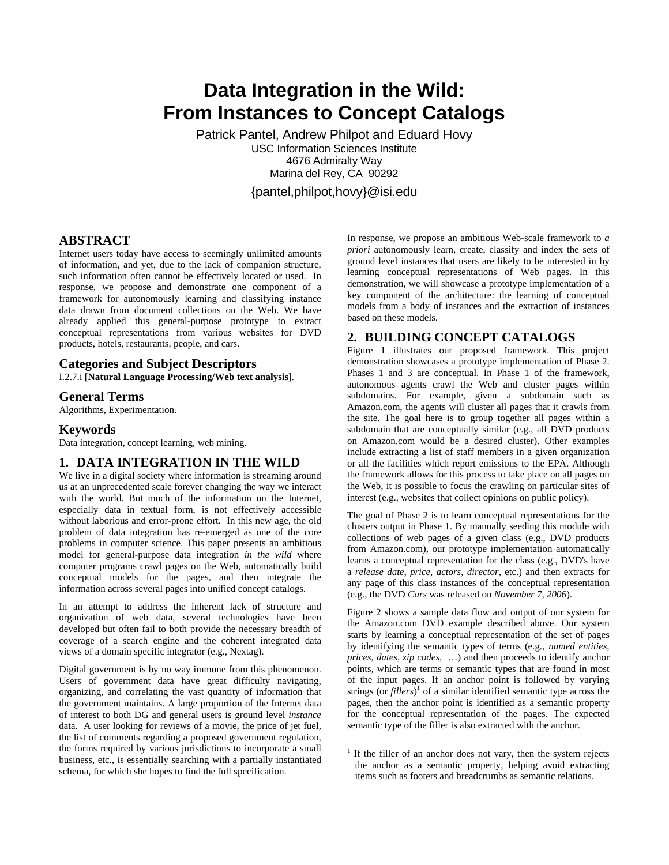# **Data Integration in the Wild: From Instances to Concept Catalogs**

Patrick Pantel, Andrew Philpot and Eduard Hovy USC Information Sciences Institute 4676 Admiralty Way Marina del Rey, CA 90292 {pantel,philpot,hovy}@isi.edu

1

#### **ABSTRACT**

Internet users today have access to seemingly unlimited amounts of information, and yet, due to the lack of companion structure, such information often cannot be effectively located or used. In response, we propose and demonstrate one component of a framework for autonomously learning and classifying instance data drawn from document collections on the Web. We have already applied this general-purpose prototype to extract conceptual representations from various websites for DVD products, hotels, restaurants, people, and cars.

# **Categories and Subject Descriptors**

I.2.7.i [**Natural Language Processing/Web text analysis**].

#### **General Terms**

Algorithms, Experimentation.

#### **Keywords**

Data integration, concept learning, web mining.

## **1. DATA INTEGRATION IN THE WILD**

We live in a digital society where information is streaming around us at an unprecedented scale forever changing the way we interact with the world. But much of the information on the Internet, especially data in textual form, is not effectively accessible without laborious and error-prone effort. In this new age, the old problem of data integration has re-emerged as one of the core problems in computer science. This paper presents an ambitious model for general-purpose data integration *in the wild* where computer programs crawl pages on the Web, automatically build conceptual models for the pages, and then integrate the information across several pages into unified concept catalogs.

In an attempt to address the inherent lack of structure and organization of web data, several technologies have been developed but often fail to both provide the necessary breadth of coverage of a search engine and the coherent integrated data views of a domain specific integrator (e.g., Nextag).

Digital government is by no way immune from this phenomenon. Users of government data have great difficulty navigating, organizing, and correlating the vast quantity of information that the government maintains. A large proportion of the Internet data of interest to both DG and general users is ground level *instance* data. A user looking for reviews of a movie, the price of jet fuel, the list of comments regarding a proposed government regulation, the forms required by various jurisdictions to incorporate a small business, etc., is essentially searching with a partially instantiated schema, for which she hopes to find the full specification.

In response, we propose an ambitious Web-scale framework to *a priori* autonomously learn, create, classify and index the sets of ground level instances that users are likely to be interested in by learning conceptual representations of Web pages. In this demonstration, we will showcase a prototype implementation of a key component of the architecture: the learning of conceptual models from a body of instances and the extraction of instances based on these models.

## **2. BUILDING CONCEPT CATALOGS**

Figure 1 illustrates our proposed framework. This project demonstration showcases a prototype implementation of Phase 2. Phases 1 and 3 are conceptual. In Phase 1 of the framework, autonomous agents crawl the Web and cluster pages within subdomains. For example, given a subdomain such as Amazon.com, the agents will cluster all pages that it crawls from the site. The goal here is to group together all pages within a subdomain that are conceptually similar (e.g., all DVD products on Amazon.com would be a desired cluster). Other examples include extracting a list of staff members in a given organization or all the facilities which report emissions to the EPA. Although the framework allows for this process to take place on all pages on the Web, it is possible to focus the crawling on particular sites of interest (e.g., websites that collect opinions on public policy).

The goal of Phase 2 is to learn conceptual representations for the clusters output in Phase 1. By manually seeding this module with collections of web pages of a given class (e.g., DVD products from Amazon.com), our prototype implementation automatically learns a conceptual representation for the class (e.g., DVD's have a *release date*, *price*, *actors*, *director*, etc.) and then extracts for any page of this class instances of the conceptual representation (e.g., the DVD *Cars* was released on *November 7, 2006*).

Figure 2 shows a sample data flow and output of our system for the Amazon.com DVD example described above. Our system starts by learning a conceptual representation of the set of pages by identifying the semantic types of terms (e.g., *named entities*, *prices*, *dates*, *zip codes*, …) and then proceeds to identify anchor points, which are terms or semantic types that are found in most of the input pages. If an anchor point is followed by varying strings (or *fillers*) 1 of a similar identified semantic type across the pages, then the anchor point is identified as a semantic property for the conceptual representation of the pages. The expected semantic type of the filler is also extracted with the anchor.

<sup>&</sup>lt;sup>1</sup> If the filler of an anchor does not vary, then the system rejects the anchor as a semantic property, helping avoid extracting items such as footers and breadcrumbs as semantic relations.